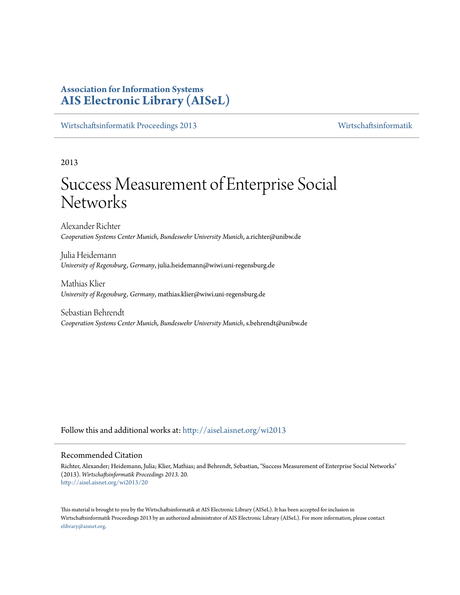## **Association for Information Systems [AIS Electronic Library \(AISeL\)](http://aisel.aisnet.org?utm_source=aisel.aisnet.org%2Fwi2013%2F20&utm_medium=PDF&utm_campaign=PDFCoverPages)**

[Wirtschaftsinformatik Proceedings 2013](http://aisel.aisnet.org/wi2013?utm_source=aisel.aisnet.org%2Fwi2013%2F20&utm_medium=PDF&utm_campaign=PDFCoverPages) [Wirtschaftsinformatik](http://aisel.aisnet.org/wi?utm_source=aisel.aisnet.org%2Fwi2013%2F20&utm_medium=PDF&utm_campaign=PDFCoverPages)

2013

# Success Measurement of Enterprise Social **Networks**

Alexander Richter *Cooperation Systems Center Munich, Bundeswehr University Munich*, a.richter@unibw.de

Julia Heidemann *University of Regensburg, Germany*, julia.heidemann@wiwi.uni-regensburg.de

Mathias Klier *University of Regensburg, Germany*, mathias.klier@wiwi.uni-regensburg.de

Sebastian Behrendt *Cooperation Systems Center Munich, Bundeswehr University Munich*, s.behrendt@unibw.de

Follow this and additional works at: [http://aisel.aisnet.org/wi2013](http://aisel.aisnet.org/wi2013?utm_source=aisel.aisnet.org%2Fwi2013%2F20&utm_medium=PDF&utm_campaign=PDFCoverPages)

#### Recommended Citation

Richter, Alexander; Heidemann, Julia; Klier, Mathias; and Behrendt, Sebastian, "Success Measurement of Enterprise Social Networks" (2013). *Wirtschaftsinformatik Proceedings 2013*. 20. [http://aisel.aisnet.org/wi2013/20](http://aisel.aisnet.org/wi2013/20?utm_source=aisel.aisnet.org%2Fwi2013%2F20&utm_medium=PDF&utm_campaign=PDFCoverPages)

This material is brought to you by the Wirtschaftsinformatik at AIS Electronic Library (AISeL). It has been accepted for inclusion in Wirtschaftsinformatik Proceedings 2013 by an authorized administrator of AIS Electronic Library (AISeL). For more information, please contact [elibrary@aisnet.org.](mailto:elibrary@aisnet.org%3E)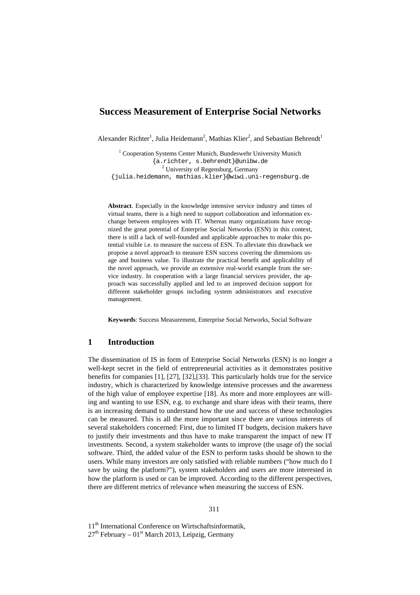## **Success Measurement of Enterprise Social Networks**

Alexander Richter<sup>1</sup>, Julia Heidemann<sup>2</sup>, Mathias Klier<sup>2</sup>, and Sebastian Behrendt<sup>1</sup>

<sup>1</sup> Cooperation Systems Center Munich, Bundeswehr University Munich {a.richter, s.behrendt}@unibw.de <sup>2</sup> University of Regensburg, Germany {julia.heidemann, mathias.klier}@wiwi.uni-regensburg.de

**Abstract**. Especially in the knowledge intensive service industry and times of virtual teams, there is a high need to support collaboration and information exchange between employees with IT. Whereas many organizations have recognized the great potential of Enterprise Social Networks (ESN) in this context, there is still a lack of well-founded and applicable approaches to make this potential visible i.e. to measure the success of ESN. To alleviate this drawback we propose a novel approach to measure ESN success covering the dimensions usage and business value. To illustrate the practical benefit and applicability of the novel approach, we provide an extensive real-world example from the service industry. In cooperation with a large financial services provider, the approach was successfully applied and led to an improved decision support for different stakeholder groups including system administrators and executive management.

**Keywords**: Success Measurement, Enterprise Social Networks, Social Software

#### **1 Introduction**

The dissemination of IS in form of Enterprise Social Networks (ESN) is no longer a well-kept secret in the field of entrepreneurial activities as it demonstrates positive benefits for companies [1], [27], [32],[33]. This particularly holds true for the service industry, which is characterized by knowledge intensive processes and the awareness of the high value of employee expertise [18]. As more and more employees are willing and wanting to use ESN, e.g. to exchange and share ideas with their teams, there is an increasing demand to understand how the use and success of these technologies can be measured. This is all the more important since there are various interests of several stakeholders concerned: First, due to limited IT budgets, decision makers have to justify their investments and thus have to make transparent the impact of new IT investments. Second, a system stakeholder wants to improve (the usage of) the social software. Third, the added value of the ESN to perform tasks should be shown to the users. While many investors are only satisfied with reliable numbers ("how much do I save by using the platform?"), system stakeholders and users are more interested in how the platform is used or can be improved. According to the different perspectives, there are different metrics of relevance when measuring the success of ESN.

11<sup>th</sup> International Conference on Wirtschaftsinformatik,  $27<sup>th</sup>$  February – 01<sup>st</sup> March 2013, Leipzig, Germany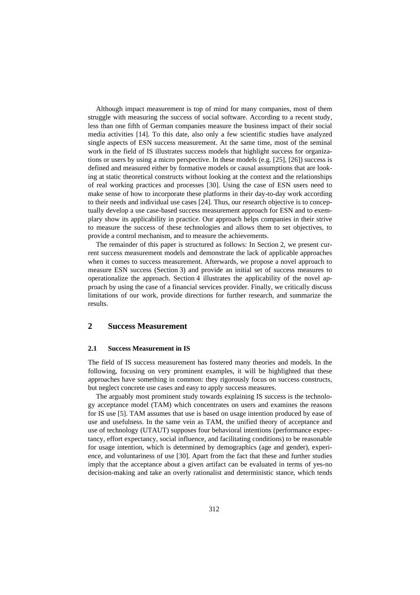Although impact measurement is top of mind for many companies, most of them struggle with measuring the success of social software. According to a recent study, less than one fifth of German companies measure the business impact of their social media activities [14]. To this date, also only a few scientific studies have analyzed single aspects of ESN success measurement. At the same time, most of the seminal work in the field of IS illustrates success models that highlight success for organizations or users by using a micro perspective. In these models (e.g. [25], [26]) success is defined and measured either by formative models or causal assumptions that are looking at static theoretical constructs without looking at the context and the relationships of real working practices and processes [30]. Using the case of ESN users need to make sense of how to incorporate these platforms in their day-to-day work according to their needs and individual use cases [24]. Thus, our research objective is to conceptually develop a use case-based success measurement approach for ESN and to exemplary show its applicability in practice. Our approach helps companies in their strive to measure the success of these technologies and allows them to set objectives, to provide a control mechanism, and to measure the achievements.

The remainder of this paper is structured as follows: In Section 2, we present current success measurement models and demonstrate the lack of applicable approaches when it comes to success measurement. Afterwards, we propose a novel approach to measure ESN success (Section 3) and provide an initial set of success measures to operationalize the approach. Section 4 illustrates the applicability of the novel approach by using the case of a financial services provider. Finally, we critically discuss limitations of our work, provide directions for further research, and summarize the results.

## **2 Success Measurement**

#### **2.1 Success Measurement in IS**

The field of IS success measurement has fostered many theories and models. In the following, focusing on very prominent examples, it will be highlighted that these approaches have something in common: they rigorously focus on success constructs, but neglect concrete use cases and easy to apply success measures.

The arguably most prominent study towards explaining IS success is the technology acceptance model (TAM) which concentrates on users and examines the reasons for IS use [5]. TAM assumes that use is based on usage intention produced by ease of use and usefulness. In the same vein as TAM, the unified theory of acceptance and use of technology (UTAUT) supposes four behavioral intentions (performance expectancy, effort expectancy, social influence, and facilitating conditions) to be reasonable for usage intention, which is determined by demographics (age and gender), experience, and voluntariness of use [30]. Apart from the fact that these and further studies imply that the acceptance about a given artifact can be evaluated in terms of yes-no decision-making and take an overly rationalist and deterministic stance, which tends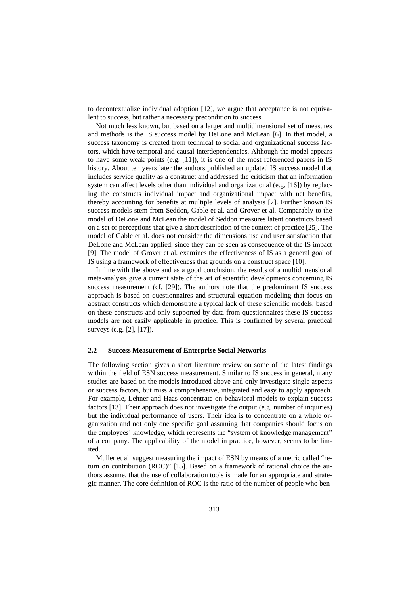to decontextualize individual adoption [12], we argue that acceptance is not equivalent to success, but rather a necessary precondition to success.

Not much less known, but based on a larger and multidimensional set of measures and methods is the IS success model by DeLone and McLean [6]. In that model, a success taxonomy is created from technical to social and organizational success factors, which have temporal and causal interdependencies. Although the model appears to have some weak points (e.g.  $[11]$ ), it is one of the most referenced papers in IS history. About ten years later the authors published an updated IS success model that includes service quality as a construct and addressed the criticism that an information system can affect levels other than individual and organizational (e.g. [16]) by replacing the constructs individual impact and organizational impact with net benefits, thereby accounting for benefits at multiple levels of analysis [7]. Further known IS success models stem from Seddon, Gable et al. and Grover et al. Comparably to the model of DeLone and McLean the model of Seddon measures latent constructs based on a set of perceptions that give a short description of the context of practice [25]. The model of Gable et al. does not consider the dimensions use and user satisfaction that DeLone and McLean applied, since they can be seen as consequence of the IS impact [9]. The model of Grover et al. examines the effectiveness of IS as a general goal of IS using a framework of effectiveness that grounds on a construct space [10].

In line with the above and as a good conclusion, the results of a multidimensional meta-analysis give a current state of the art of scientific developments concerning IS success measurement (cf. [29]). The authors note that the predominant IS success approach is based on questionnaires and structural equation modeling that focus on abstract constructs which demonstrate a typical lack of these scientific models: based on these constructs and only supported by data from questionnaires these IS success models are not easily applicable in practice. This is confirmed by several practical surveys (e.g. [2], [17]).

#### **2.2 Success Measurement of Enterprise Social Networks**

The following section gives a short literature review on some of the latest findings within the field of ESN success measurement. Similar to IS success in general, many studies are based on the models introduced above and only investigate single aspects or success factors, but miss a comprehensive, integrated and easy to apply approach. For example, Lehner and Haas concentrate on behavioral models to explain success factors [13]. Their approach does not investigate the output (e.g. number of inquiries) but the individual performance of users. Their idea is to concentrate on a whole organization and not only one specific goal assuming that companies should focus on the employees' knowledge, which represents the "system of knowledge management" of a company. The applicability of the model in practice, however, seems to be limited.

Muller et al. suggest measuring the impact of ESN by means of a metric called "return on contribution (ROC)" [15]. Based on a framework of rational choice the authors assume, that the use of collaboration tools is made for an appropriate and strategic manner. The core definition of ROC is the ratio of the number of people who ben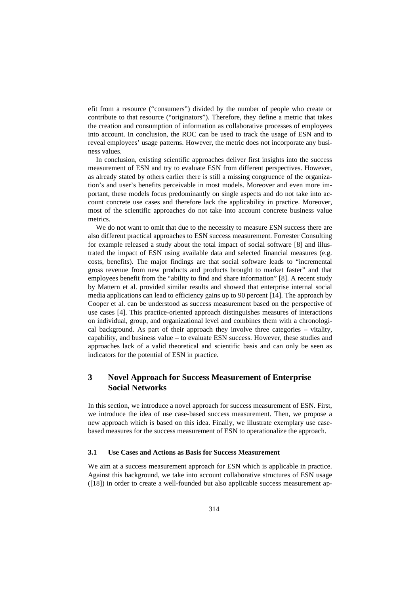efit from a resource ("consumers") divided by the number of people who create or contribute to that resource ("originators"). Therefore, they define a metric that takes the creation and consumption of information as collaborative processes of employees into account. In conclusion, the ROC can be used to track the usage of ESN and to reveal employees' usage patterns. However, the metric does not incorporate any business values.

In conclusion, existing scientific approaches deliver first insights into the success measurement of ESN and try to evaluate ESN from different perspectives. However, as already stated by others earlier there is still a missing congruence of the organization's and user's benefits perceivable in most models. Moreover and even more important, these models focus predominantly on single aspects and do not take into account concrete use cases and therefore lack the applicability in practice. Moreover, most of the scientific approaches do not take into account concrete business value metrics.

We do not want to omit that due to the necessity to measure ESN success there are also different practical approaches to ESN success measurement. Forrester Consulting for example released a study about the total impact of social software [8] and illustrated the impact of ESN using available data and selected financial measures (e.g. costs, benefits). The major findings are that social software leads to "incremental gross revenue from new products and products brought to market faster" and that employees benefit from the "ability to find and share information" [8]. A recent study by Mattern et al. provided similar results and showed that enterprise internal social media applications can lead to efficiency gains up to 90 percent [14]. The approach by Cooper et al. can be understood as success measurement based on the perspective of use cases [4]. This practice-oriented approach distinguishes measures of interactions on individual, group, and organizational level and combines them with a chronological background. As part of their approach they involve three categories – vitality, capability, and business value – to evaluate ESN success. However, these studies and approaches lack of a valid theoretical and scientific basis and can only be seen as indicators for the potential of ESN in practice.

## **3 Novel Approach for Success Measurement of Enterprise Social Networks**

In this section, we introduce a novel approach for success measurement of ESN. First, we introduce the idea of use case-based success measurement. Then, we propose a new approach which is based on this idea. Finally, we illustrate exemplary use casebased measures for the success measurement of ESN to operationalize the approach.

#### **3.1 Use Cases and Actions as Basis for Success Measurement**

We aim at a success measurement approach for ESN which is applicable in practice. Against this background, we take into account collaborative structures of ESN usage ([18]) in order to create a well-founded but also applicable success measurement ap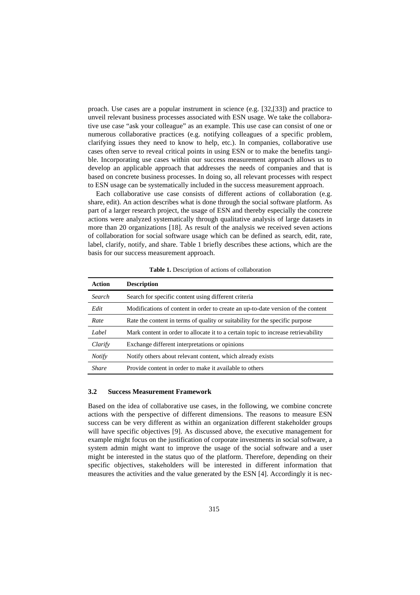proach. Use cases are a popular instrument in science (e.g. [32,[33]) and practice to unveil relevant business processes associated with ESN usage. We take the collaborative use case "ask your colleague" as an example. This use case can consist of one or numerous collaborative practices (e.g. notifying colleagues of a specific problem, clarifying issues they need to know to help, etc.). In companies, collaborative use cases often serve to reveal critical points in using ESN or to make the benefits tangible. Incorporating use cases within our success measurement approach allows us to develop an applicable approach that addresses the needs of companies and that is based on concrete business processes. In doing so, all relevant processes with respect to ESN usage can be systematically included in the success measurement approach.

Each collaborative use case consists of different actions of collaboration (e.g. share, edit). An action describes what is done through the social software platform. As part of a larger research project, the usage of ESN and thereby especially the concrete actions were analyzed systematically through qualitative analysis of large datasets in more than 20 organizations [18]. As result of the analysis we received seven actions of collaboration for social software usage which can be defined as search, edit, rate, label, clarify, notify, and share. Table 1 briefly describes these actions, which are the basis for our success measurement approach.

| Action        | <b>Description</b>                                                                 |
|---------------|------------------------------------------------------------------------------------|
| Search        | Search for specific content using different criteria                               |
| Edit          | Modifications of content in order to create an up-to-date version of the content   |
| Rate          | Rate the content in terms of quality or suitability for the specific purpose       |
| Label         | Mark content in order to allocate it to a certain topic to increase retrievability |
| Clarify       | Exchange different interpretations or opinions                                     |
| <b>Notify</b> | Notify others about relevant content, which already exists                         |
| <b>Share</b>  | Provide content in order to make it available to others                            |

**Table 1.** Description of actions of collaboration

#### **3.2 Success Measurement Framework**

Based on the idea of collaborative use cases, in the following, we combine concrete actions with the perspective of different dimensions. The reasons to measure ESN success can be very different as within an organization different stakeholder groups will have specific objectives [9]. As discussed above, the executive management for example might focus on the justification of corporate investments in social software, a system admin might want to improve the usage of the social software and a user might be interested in the status quo of the platform. Therefore, depending on their specific objectives, stakeholders will be interested in different information that measures the activities and the value generated by the ESN [4]. Accordingly it is nec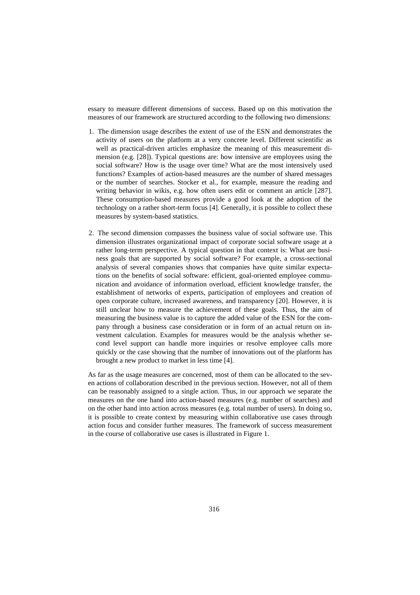essary to measure different dimensions of success. Based up on this motivation the measures of our framework are structured according to the following two dimensions:

- 1. The dimension usage describes the extent of use of the ESN and demonstrates the activity of users on the platform at a very concrete level. Different scientific as well as practical-driven articles emphasize the meaning of this measurement dimension (e.g. [28]). Typical questions are: how intensive are employees using the social software? How is the usage over time? What are the most intensively used functions? Examples of action-based measures are the number of shared messages or the number of searches. Stocker et al., for example, measure the reading and writing behavior in wikis, e.g. how often users edit or comment an article [287]. These consumption-based measures provide a good look at the adoption of the technology on a rather short-term focus [4]. Generally, it is possible to collect these measures by system-based statistics.
- 2. The second dimension compasses the business value of social software use. This dimension illustrates organizational impact of corporate social software usage at a rather long-term perspective. A typical question in that context is: What are business goals that are supported by social software? For example, a cross-sectional analysis of several companies shows that companies have quite similar expectations on the benefits of social software: efficient, goal-oriented employee communication and avoidance of information overload, efficient knowledge transfer, the establishment of networks of experts, participation of employees and creation of open corporate culture, increased awareness, and transparency [20]. However, it is still unclear how to measure the achievement of these goals. Thus, the aim of measuring the business value is to capture the added value of the ESN for the company through a business case consideration or in form of an actual return on investment calculation. Examples for measures would be the analysis whether second level support can handle more inquiries or resolve employee calls more quickly or the case showing that the number of innovations out of the platform has brought a new product to market in less time [4].

As far as the usage measures are concerned, most of them can be allocated to the seven actions of collaboration described in the previous section. However, not all of them can be reasonably assigned to a single action. Thus, in our approach we separate the measures on the one hand into action-based measures (e.g. number of searches) and on the other hand into action across measures (e.g. total number of users). In doing so, it is possible to create context by measuring within collaborative use cases through action focus and consider further measures. The framework of success measurement in the course of collaborative use cases is illustrated in Figure 1.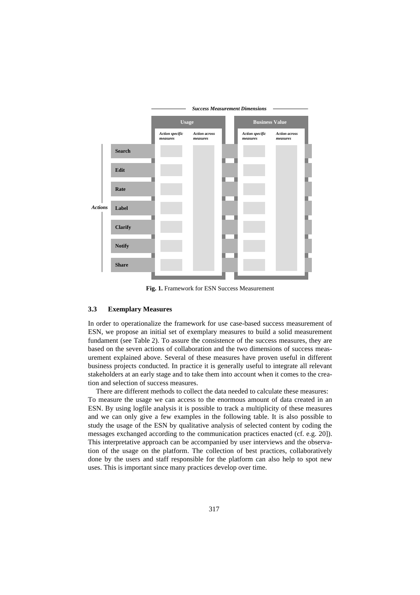

**Fig. 1.** Framework for ESN Success Measurement

#### **3.3 Exemplary Measures**

In order to operationalize the framework for use case-based success measurement of ESN, we propose an initial set of exemplary measures to build a solid measurement fundament (see Table 2). To assure the consistence of the success measures, they are based on the seven actions of collaboration and the two dimensions of success measurement explained above. Several of these measures have proven useful in different business projects conducted. In practice it is generally useful to integrate all relevant stakeholders at an early stage and to take them into account when it comes to the creation and selection of success measures.

There are different methods to collect the data needed to calculate these measures: To measure the usage we can access to the enormous amount of data created in an ESN. By using logfile analysis it is possible to track a multiplicity of these measures and we can only give a few examples in the following table. It is also possible to study the usage of the ESN by qualitative analysis of selected content by coding the messages exchanged according to the communication practices enacted (cf. e.g. 20]). This interpretative approach can be accompanied by user interviews and the observation of the usage on the platform. The collection of best practices, collaboratively done by the users and staff responsible for the platform can also help to spot new uses. This is important since many practices develop over time.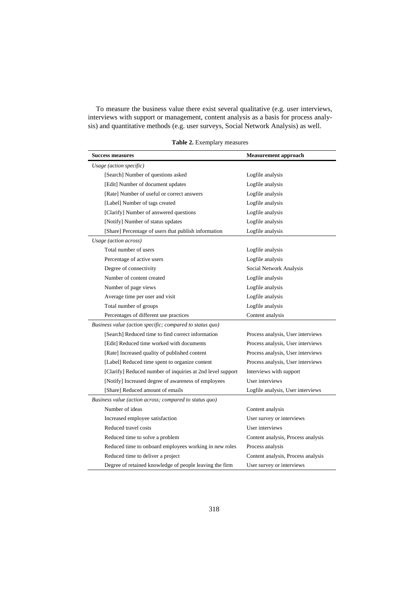To measure the business value there exist several qualitative (e.g. user interviews, interviews with support or management, content analysis as a basis for process analysis) and quantitative methods (e.g. user surveys, Social Network Analysis) as well.

| <b>Success measures</b>                                    | <b>Measurement approach</b>        |  |  |  |
|------------------------------------------------------------|------------------------------------|--|--|--|
| Usage (action specific)                                    |                                    |  |  |  |
| [Search] Number of questions asked                         | Logfile analysis                   |  |  |  |
| [Edit] Number of document updates                          | Logfile analysis                   |  |  |  |
| [Rate] Number of useful or correct answers                 | Logfile analysis                   |  |  |  |
| [Label] Number of tags created                             | Logfile analysis                   |  |  |  |
| [Clarify] Number of answered questions                     | Logfile analysis                   |  |  |  |
| [Notify] Number of status updates                          | Logfile analysis                   |  |  |  |
| [Share] Percentage of users that publish information       | Logfile analysis                   |  |  |  |
| Usage (action across)                                      |                                    |  |  |  |
| Total number of users                                      | Logfile analysis                   |  |  |  |
| Percentage of active users                                 | Logfile analysis                   |  |  |  |
| Degree of connectivity                                     | Social Network Analysis            |  |  |  |
| Number of content created                                  | Logfile analysis                   |  |  |  |
| Number of page views                                       | Logfile analysis                   |  |  |  |
| Average time per user and visit                            | Logfile analysis                   |  |  |  |
| Total number of groups                                     | Logfile analysis                   |  |  |  |
| Percentages of different use practices                     | Content analysis                   |  |  |  |
| Business value (action specific; compared to status quo)   |                                    |  |  |  |
| [Search] Reduced time to find correct information          | Process analysis, User interviews  |  |  |  |
| [Edit] Reduced time worked with documents                  | Process analysis, User interviews  |  |  |  |
| [Rate] Increased quality of published content              | Process analysis, User interviews  |  |  |  |
| [Label] Reduced time spent to organize content             | Process analysis, User interviews  |  |  |  |
| [Clarify] Reduced number of inquiries at 2nd level support | Interviews with support            |  |  |  |
| [Notify] Increased degree of awareness of employees        | User interviews                    |  |  |  |
| [Share] Reduced amount of emails                           | Logfile analysis, User interviews  |  |  |  |
| Business value (action across; compared to status quo)     |                                    |  |  |  |
| Number of ideas                                            | Content analysis                   |  |  |  |
| Increased employee satisfaction                            | User survey or interviews          |  |  |  |
| Reduced travel costs                                       | User interviews                    |  |  |  |
| Reduced time to solve a problem                            | Content analysis, Process analysis |  |  |  |
| Reduced time to onboard employees working in new roles     | Process analysis                   |  |  |  |
| Reduced time to deliver a project                          | Content analysis, Process analysis |  |  |  |
| Degree of retained knowledge of people leaving the firm    | User survey or interviews          |  |  |  |

**Table 2.** Exemplary measures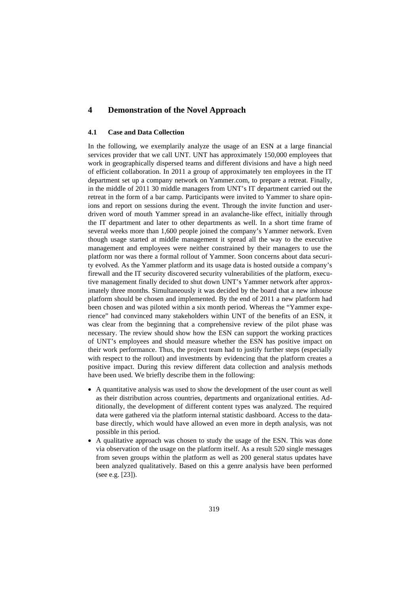## **4 Demonstration of the Novel Approach**

#### **4.1 Case and Data Collection**

In the following, we exemplarily analyze the usage of an ESN at a large financial services provider that we call UNT. UNT has approximately 150,000 employees that work in geographically dispersed teams and different divisions and have a high need of efficient collaboration. In 2011 a group of approximately ten employees in the IT department set up a company network on Yammer.com, to prepare a retreat. Finally, in the middle of 2011 30 middle managers from UNT's IT department carried out the retreat in the form of a bar camp. Participants were invited to Yammer to share opinions and report on sessions during the event. Through the invite function and userdriven word of mouth Yammer spread in an avalanche-like effect, initially through the IT department and later to other departments as well. In a short time frame of several weeks more than 1,600 people joined the company's Yammer network. Even though usage started at middle management it spread all the way to the executive management and employees were neither constrained by their managers to use the platform nor was there a formal rollout of Yammer. Soon concerns about data security evolved. As the Yammer platform and its usage data is hosted outside a company's firewall and the IT security discovered security vulnerabilities of the platform, executive management finally decided to shut down UNT's Yammer network after approximately three months. Simultaneously it was decided by the board that a new inhouse platform should be chosen and implemented. By the end of 2011 a new platform had been chosen and was piloted within a six month period. Whereas the "Yammer experience" had convinced many stakeholders within UNT of the benefits of an ESN, it was clear from the beginning that a comprehensive review of the pilot phase was necessary. The review should show how the ESN can support the working practices of UNT's employees and should measure whether the ESN has positive impact on their work performance. Thus, the project team had to justify further steps (especially with respect to the rollout) and investments by evidencing that the platform creates a positive impact. During this review different data collection and analysis methods have been used. We briefly describe them in the following:

- A quantitative analysis was used to show the development of the user count as well as their distribution across countries, departments and organizational entities. Additionally, the development of different content types was analyzed. The required data were gathered via the platform internal statistic dashboard. Access to the database directly, which would have allowed an even more in depth analysis, was not possible in this period.
- A qualitative approach was chosen to study the usage of the ESN. This was done via observation of the usage on the platform itself. As a result 520 single messages from seven groups within the platform as well as 200 general status updates have been analyzed qualitatively. Based on this a genre analysis have been performed (see e.g. [23]).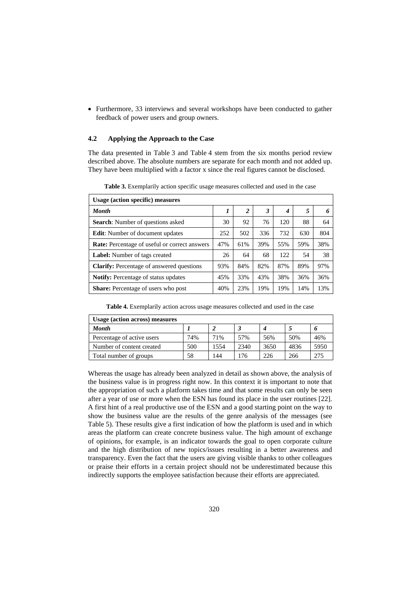• Furthermore, 33 interviews and several workshops have been conducted to gather feedback of power users and group owners.

#### **4.2 Applying the Approach to the Case**

The data presented in Table 3 and Table 4 stem from the six months period review described above. The absolute numbers are separate for each month and not added up. They have been multiplied with a factor x since the real figures cannot be disclosed.

| Usage (action specific) measures                     |     |                |     |      |     |     |
|------------------------------------------------------|-----|----------------|-----|------|-----|-----|
| <b>Month</b>                                         | 1   | $\overline{2}$ | 3   | 4    | 5   | 6   |
| Search: Number of questions asked                    | 30  | 92             | 76  | 120  | 88  | 64  |
| <b>Edit:</b> Number of document updates              | 252 | 502            | 336 | 732  | 630 | 804 |
| <b>Rate:</b> Percentage of useful or correct answers | 47% | 61%            | 39% | 55%  | 59% | 38% |
| <b>Label:</b> Number of tags created                 | 26  | 64             | 68  | 122. | 54  | 38  |
| <b>Clarify:</b> Percentage of answered questions     | 93% | 84%            | 82% | 87%  | 89% | 97% |
| <b>Notify:</b> Percentage of status updates          | 45% | 33%            | 43% | 38%  | 36% | 36% |
| <b>Share:</b> Percentage of users who post           |     | 23%            | 19% | 19%  | 14% | 13% |

**Table 3.** Exemplarily action specific usage measures collected and used in the case

**Table 4.** Exemplarily action across usage measures collected and used in the case

| Usage (action across) measures |     |      |      |      |      |      |
|--------------------------------|-----|------|------|------|------|------|
| <b>Month</b>                   |     |      |      |      |      |      |
| Percentage of active users     | 74% | 71%  | 57%  | 56%  | 50%  | 46%  |
| Number of content created      | 500 | 1554 | 2340 | 3650 | 4836 | 5950 |
| Total number of groups         | 58  | 144  | 176  | 226  | 266  | 275  |

Whereas the usage has already been analyzed in detail as shown above, the analysis of the business value is in progress right now. In this context it is important to note that the appropriation of such a platform takes time and that some results can only be seen after a year of use or more when the ESN has found its place in the user routines [22]. A first hint of a real productive use of the ESN and a good starting point on the way to show the business value are the results of the genre analysis of the messages (see Table 5). These results give a first indication of how the platform is used and in which areas the platform can create concrete business value. The high amount of exchange of opinions, for example, is an indicator towards the goal to open corporate culture and the high distribution of new topics/issues resulting in a better awareness and transparency. Even the fact that the users are giving visible thanks to other colleagues or praise their efforts in a certain project should not be underestimated because this indirectly supports the employee satisfaction because their efforts are appreciated.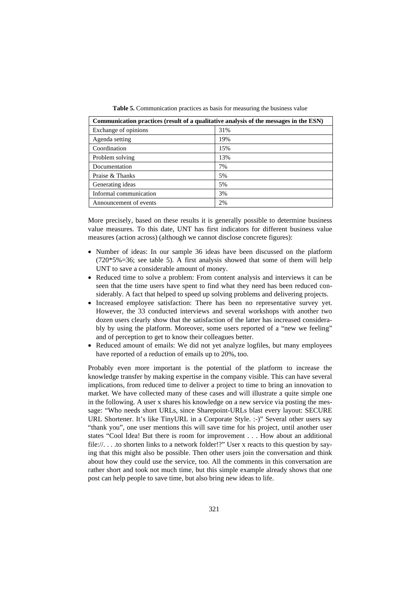**Table 5.** Communication practices as basis for measuring the business value

| Communication practices (result of a qualitative analysis of the messages in the ESN) |     |  |
|---------------------------------------------------------------------------------------|-----|--|
| Exchange of opinions                                                                  | 31% |  |
| Agenda setting                                                                        | 19% |  |
| Coordination                                                                          | 15% |  |
| Problem solving                                                                       | 13% |  |
| Documentation                                                                         | 7%  |  |
| Praise & Thanks                                                                       | 5%  |  |
| Generating ideas                                                                      | 5%  |  |
| Informal communication                                                                | 3%  |  |
| Announcement of events                                                                | 2%  |  |

More precisely, based on these results it is generally possible to determine business value measures. To this date, UNT has first indicators for different business value measures (action across) (although we cannot disclose concrete figures):

- Number of ideas: In our sample 36 ideas have been discussed on the platform  $(720*5%=36;$  see table 5). A first analysis showed that some of them will help UNT to save a considerable amount of money.
- Reduced time to solve a problem: From content analysis and interviews it can be seen that the time users have spent to find what they need has been reduced considerably. A fact that helped to speed up solving problems and delivering projects.
- Increased employee satisfaction: There has been no representative survey yet. However, the 33 conducted interviews and several workshops with another two dozen users clearly show that the satisfaction of the latter has increased considerably by using the platform. Moreover, some users reported of a "new we feeling" and of perception to get to know their colleagues better.
- Reduced amount of emails: We did not yet analyze logfiles, but many employees have reported of a reduction of emails up to 20%, too.

Probably even more important is the potential of the platform to increase the knowledge transfer by making expertise in the company visible. This can have several implications, from reduced time to deliver a project to time to bring an innovation to market. We have collected many of these cases and will illustrate a quite simple one in the following. A user x shares his knowledge on a new service via posting the message: "Who needs short URLs, since Sharepoint-URLs blast every layout: SECURE URL Shortener. It's like TinyURL in a Corporate Style. :-)" Several other users say "thank you", one user mentions this will save time for his project, until another user states "Cool Idea! But there is room for improvement . . . How about an additional file://...to shorten links to a network folder!?" User x reacts to this question by saying that this might also be possible. Then other users join the conversation and think about how they could use the service, too. All the comments in this conversation are rather short and took not much time, but this simple example already shows that one post can help people to save time, but also bring new ideas to life.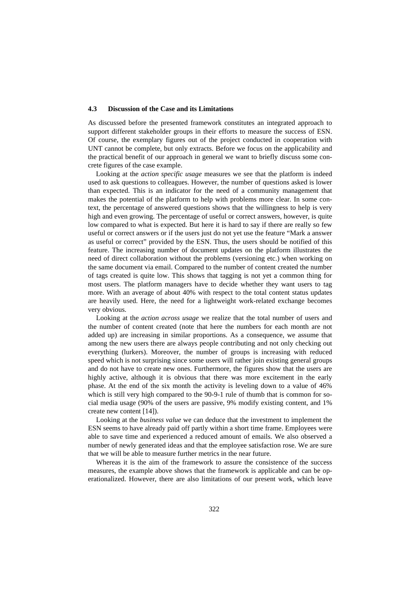#### **4.3 Discussion of the Case and its Limitations**

As discussed before the presented framework constitutes an integrated approach to support different stakeholder groups in their efforts to measure the success of ESN. Of course, the exemplary figures out of the project conducted in cooperation with UNT cannot be complete, but only extracts. Before we focus on the applicability and the practical benefit of our approach in general we want to briefly discuss some concrete figures of the case example.

Looking at the *action specific usage* measures we see that the platform is indeed used to ask questions to colleagues. However, the number of questions asked is lower than expected. This is an indicator for the need of a community management that makes the potential of the platform to help with problems more clear. In some context, the percentage of answered questions shows that the willingness to help is very high and even growing. The percentage of useful or correct answers, however, is quite low compared to what is expected. But here it is hard to say if there are really so few useful or correct answers or if the users just do not yet use the feature "Mark a answer as useful or correct" provided by the ESN. Thus, the users should be notified of this feature. The increasing number of document updates on the platform illustrates the need of direct collaboration without the problems (versioning etc.) when working on the same document via email. Compared to the number of content created the number of tags created is quite low. This shows that tagging is not yet a common thing for most users. The platform managers have to decide whether they want users to tag more. With an average of about 40% with respect to the total content status updates are heavily used. Here, the need for a lightweight work-related exchange becomes very obvious.

Looking at the *action across usage* we realize that the total number of users and the number of content created (note that here the numbers for each month are not added up) are increasing in similar proportions. As a consequence, we assume that among the new users there are always people contributing and not only checking out everything (lurkers). Moreover, the number of groups is increasing with reduced speed which is not surprising since some users will rather join existing general groups and do not have to create new ones. Furthermore, the figures show that the users are highly active, although it is obvious that there was more excitement in the early phase. At the end of the six month the activity is leveling down to a value of 46% which is still very high compared to the 90-9-1 rule of thumb that is common for social media usage (90% of the users are passive, 9% modify existing content, and 1% create new content [14]).

Looking at the *business value* we can deduce that the investment to implement the ESN seems to have already paid off partly within a short time frame. Employees were able to save time and experienced a reduced amount of emails. We also observed a number of newly generated ideas and that the employee satisfaction rose. We are sure that we will be able to measure further metrics in the near future.

Whereas it is the aim of the framework to assure the consistence of the success measures, the example above shows that the framework is applicable and can be operationalized. However, there are also limitations of our present work, which leave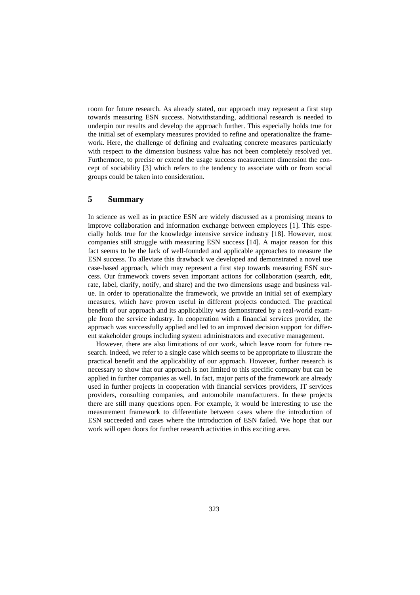room for future research. As already stated, our approach may represent a first step towards measuring ESN success. Notwithstanding, additional research is needed to underpin our results and develop the approach further. This especially holds true for the initial set of exemplary measures provided to refine and operationalize the framework. Here, the challenge of defining and evaluating concrete measures particularly with respect to the dimension business value has not been completely resolved yet. Furthermore, to precise or extend the usage success measurement dimension the concept of sociability [3] which refers to the tendency to associate with or from social groups could be taken into consideration.

#### **5 Summary**

In science as well as in practice ESN are widely discussed as a promising means to improve collaboration and information exchange between employees [1]. This especially holds true for the knowledge intensive service industry [18]. However, most companies still struggle with measuring ESN success [14]. A major reason for this fact seems to be the lack of well-founded and applicable approaches to measure the ESN success. To alleviate this drawback we developed and demonstrated a novel use case-based approach, which may represent a first step towards measuring ESN success. Our framework covers seven important actions for collaboration (search, edit, rate, label, clarify, notify, and share) and the two dimensions usage and business value. In order to operationalize the framework, we provide an initial set of exemplary measures, which have proven useful in different projects conducted. The practical benefit of our approach and its applicability was demonstrated by a real-world example from the service industry. In cooperation with a financial services provider, the approach was successfully applied and led to an improved decision support for different stakeholder groups including system administrators and executive management.

However, there are also limitations of our work, which leave room for future research. Indeed, we refer to a single case which seems to be appropriate to illustrate the practical benefit and the applicability of our approach. However, further research is necessary to show that our approach is not limited to this specific company but can be applied in further companies as well. In fact, major parts of the framework are already used in further projects in cooperation with financial services providers, IT services providers, consulting companies, and automobile manufacturers. In these projects there are still many questions open. For example, it would be interesting to use the measurement framework to differentiate between cases where the introduction of ESN succeeded and cases where the introduction of ESN failed. We hope that our work will open doors for further research activities in this exciting area.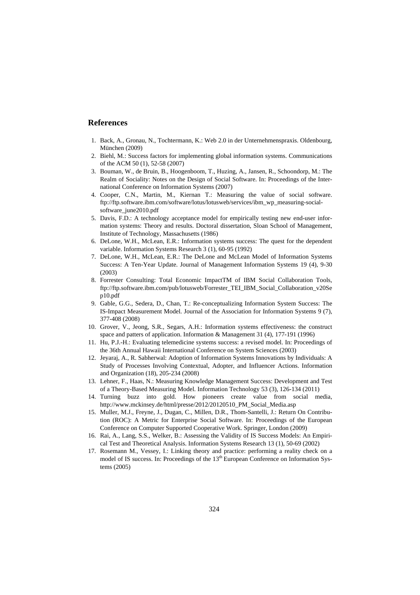#### **References**

- 1. Back, A., Gronau, N., Tochtermann, K.: Web 2.0 in der Unternehmenspraxis. Oldenbourg, München (2009)
- 2. Biehl, M.: Success factors for implementing global information systems. Communications of the ACM 50 (1), 52-58 (2007)
- 3. Bouman, W., de Bruin, B., Hoogenboom, T., Huzing, A., Jansen, R., Schoondorp, M.: The Realm of Sociality: Notes on the Design of Social Software. In: Proceedings of the International Conference on Information Systems (2007)
- 4. Cooper, C.N., Martin, M., Kiernan T.: Measuring the value of social software. ftp://ftp.software.ibm.com/software/lotus/lotusweb/services/ibm\_wp\_measuring-socialsoftware\_june2010.pdf
- 5. Davis, F.D.: A technology acceptance model for empirically testing new end-user information systems: Theory and results. Doctoral dissertation, Sloan School of Management, Institute of Technology, Massachusetts (1986)
- 6. DeLone, W.H., McLean, E.R.: Information systems success: The quest for the dependent variable. Information Systems Research 3 (1), 60-95 (1992)
- 7. DeLone, W.H., McLean, E.R.: The DeLone and McLean Model of Information Systems Success: A Ten-Year Update. Journal of Management Information Systems 19 (4), 9-30 (2003)
- 8. Forrester Consulting: Total Economic ImpactTM of IBM Social Collaboration Tools, ftp://ftp.software.ibm.com/pub/lotusweb/Forrester\_TEI\_IBM\_Social\_Collaboration\_v20Se p10.pdf
- 9. Gable, G.G., Sedera, D., Chan, T.: Re-conceptualizing Information System Success: The IS-Impact Measurement Model. Journal of the Association for Information Systems 9 (7), 377-408 (2008)
- 10. Grover, V., Jeong, S.R., Segars, A.H.: Information systems effectiveness: the construct space and patters of application. Information & Management 31 (4), 177-191 (1996)
- 11. Hu, P.J.-H.: Evaluating telemedicine systems success: a revised model. In: Proceedings of the 36th Annual Hawaii International Conference on System Sciences (2003)
- 12. Jeyaraj, A., R. Sabherwal: Adoption of Information Systems Innovations by Individuals: A Study of Processes Involving Contextual, Adopter, and Influencer Actions. Information and Organization (18), 205-234 (2008)
- 13. Lehner, F., Haas, N.: Measuring Knowledge Management Success: Development and Test of a Theory-Based Measuring Model. Information Technology 53 (3), 126-134 (2011)
- 14. Turning buzz into gold. How pioneers create value from social media, http://www.mckinsey.de/html/presse/2012/20120510\_PM\_Social\_Media.asp
- 15. Muller, M.J., Freyne, J., Dugan, C., Millen, D.R., Thom-Santelli, J.: Return On Contribution (ROC): A Metric for Enterprise Social Software. In: Proceedings of the European Conference on Computer Supported Cooperative Work. Springer, London (2009)
- 16. Rai, A., Lang, S.S., Welker, B.: Assessing the Validity of IS Success Models: An Empirical Test and Theoretical Analysis. Information Systems Research 13 (1), 50-69 (2002)
- 17. Rosemann M., Vessey, I.: Linking theory and practice: performing a reality check on a model of IS success. In: Proceedings of the 13<sup>th</sup> European Conference on Information Systems (2005)